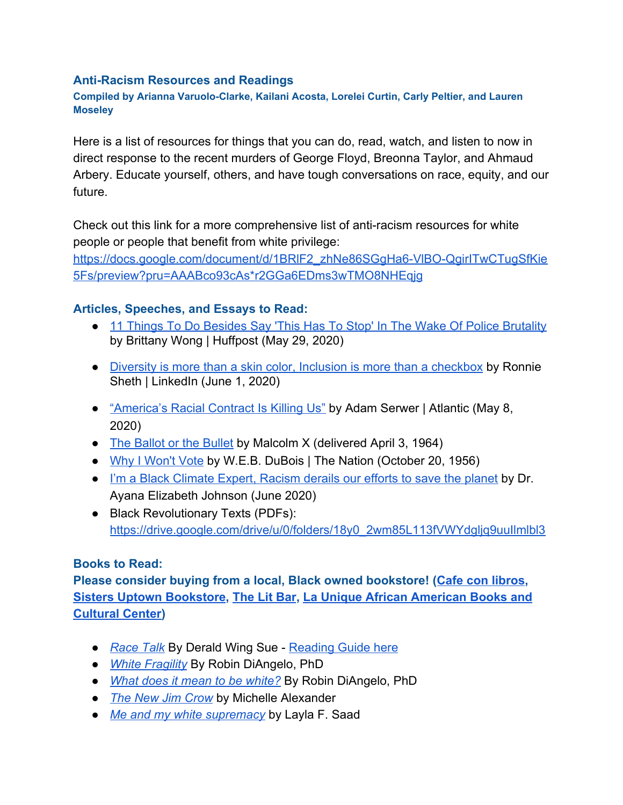#### **Anti-Racism Resources and Readings**

### **Compiled by Arianna Varuolo-Clarke, Kailani Acosta, Lorelei Curtin, Carly Peltier, and Lauren Moseley**

Here is a list of resources for things that you can do, read, watch, and listen to now in direct response to the recent murders of George Floyd, Breonna Taylor, and Ahmaud Arbery. Educate yourself, others, and have tough conversations on race, equity, and our future.

Check out this link for a more comprehensive list of anti-racism resources for white people or people that benefit from white privilege:

https://docs.google.com/document/d/1BRIF2\_zhNe86SGgHa6-VIBO-QgirITwCTugSfKie [5Fs/preview?pru=AAABco93cAs\\*r2GGa6EDms3wTMO8NHEqjg](https://docs.google.com/document/d/1BRlF2_zhNe86SGgHa6-VlBO-QgirITwCTugSfKie5Fs/preview?pru=AAABco93cAs*r2GGa6EDms3wTMO8NHEqjg)

## **Articles, Speeches, and Essays to Read:**

- [11 Things To Do Besides Say 'This Has To Stop' In The Wake Of Police Brutality](https://www.huffpost.com/entry/police-violence-black-community-activism-ally_n_5ed01d2ac5b6b6261ab53962) by [Brittany Wong](https://www.huffpost.com/author/-brittany-wong) | Huffpost (May 29, 2020)
- [Diversity is more than a skin color, Inclusion is more than a checkbox](https://www.linkedin.com/pulse/diversity-more-than-skin-color-inclusion-checkbox-ronnie-sheth/) by Ronnie Sheth | LinkedIn (June 1, 2020)
- ["America's Racial Contract Is Killing Us" by Adam Serwer | Atlantic \(May 8,](https://www.theatlantic.com/ideas/archive/2020/05/americas-racial-contract-showing/611389/) [2020\)](https://www.theatlantic.com/ideas/archive/2020/05/americas-racial-contract-showing/611389/)
- [The Ballot or the Bullet](http://www.edchange.org/multicultural/speeches/malcolm_x_ballot.html) by Malcolm X (delivered April 3, 1964)
- [Why I Won't Vote](http://www.hartford-hwp.com/archives/45a/298.html) by W.E.B. DuBois | The Nation (October 20, 1956)
- [I'm a Black Climate Expert, Racism derails our efforts to save the planet](https://www.washingtonpost.com/outlook/2020/06/03/im-black-climate-scientist-racism-derails-our-efforts-save-planet/) by Dr. Ayana Elizabeth Johnson (June 2020)
- Black Revolutionary Texts (PDFs): [https://drive.google.com/drive/u/0/folders/18y0\\_2wm85L113fVWYdgljq9uuIlmlbl3](https://drive.google.com/drive/u/0/folders/18y0_2wm85L113fVWYdgljq9uuIlmlbl3)

### **Books to Read:**

**Please consider buying from a local, Black owned bookstore! ([Cafe con libros](https://www.cafeconlibrosbk.com/order-a-book), [Sisters Uptown Bookstore](https://experienceonekin.co/collections/the-sisters-uptown-bookstore), [The Lit Bar](https://bookshop.org/shop/thelitbar), [La Unique African American Books and](http://www.launiquebooks.net/) [Cultural Center\)](http://www.launiquebooks.net/)**

- *[Race Talk](https://www.amazon.com/Race-Talk-Conspiracy-Silence-Understanding/dp/1119241987)* By Derald Wing Sue [Reading Guide here](https://diversity.ldeo.columbia.edu/racetalk)
- *[White Fragility](https://robindiangelo.com/publications/)* By Robin DiAngelo, PhD
- *[What does it mean to be white?](https://robindiangelo.com/publications/)* By Robin DiAngelo, PhD
- *[The New Jim Crow](https://newjimcrow.com/)* by Michelle Alexander
- *[Me and my white supremacy](https://www.meandwhitesupremacybook.com/)* by Layla F. Saad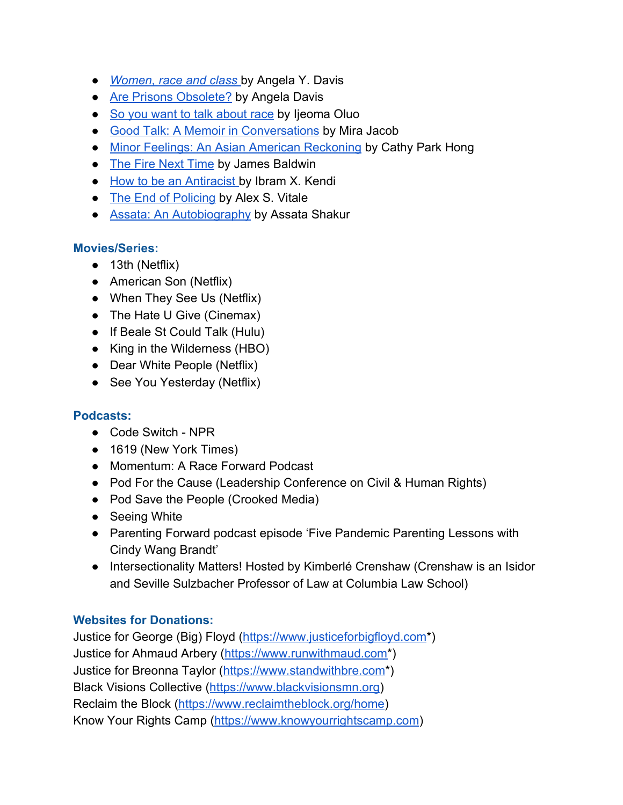- *[Women, race and class](https://www.amazon.com/Women-Race-Class-Angela-Davis/dp/0394713516)* by Angela Y. Davis
- [Are Prisons Obsolete?](https://www.feministes-radicales.org/wp-content/uploads/2010/11/Angela-Davis-Are_Prisons_Obsolete.pdf) by Angela Davis
- [So you want to talk about race](https://www.barnesandnoble.com/w/so-you-want-to-talk-about-race-ijeoma-oluo/1126365130) by Ijeoma Oluo
- [Good Talk: A Memoir in Conversations](http://www.mirajacob.com/good-talk/) by Mira Jacob
- [Minor Feelings: An Asian American Reckoning](https://www.penguinrandomhouse.com/books/605371/minor-feelings-by-cathy-park-hong/) by Cathy Park Hong
- [The Fire Next Time](https://www.barnesandnoble.com/w/fire-next-time-james-baldwin/1100157523) by James Baldwin
- [How to be an Antiracist b](https://www.ibramxkendi.com/how-to-be-an-antiracist-1)y Ibram X. Kendi
- [The End of Policing](https://www.versobooks.com/books/2817-the-end-of-policing) by Alex S. Vitale
- [Assata: An Autobiography](https://libcom.org/files/assataauto.pdf) by Assata Shakur

## **Movies/Series:**

- 13th (Netflix)
- American Son (Netflix)
- When They See Us (Netflix)
- The Hate U Give (Cinemax)
- If Beale St Could Talk (Hulu)
- King in the Wilderness (HBO)
- Dear White People (Netflix)
- See You Yesterday (Netflix)

# **Podcasts:**

- Code Switch NPR
- 1619 (New York Times)
- Momentum: A Race Forward Podcast
- Pod For the Cause (Leadership Conference on Civil & Human Rights)
- Pod Save the People (Crooked Media)
- Seeing White
- Parenting Forward podcast episode 'Five Pandemic Parenting Lessons with Cindy Wang Brandt'
- Intersectionality Matters! Hosted by Kimberlé Crenshaw (Crenshaw is an Isidor and Seville Sulzbacher Professor of Law at Columbia Law School)

# **Websites for Donations:**

Justice for George (Big) Floyd [\(https://www.justiceforbigfloyd.com](https://www.justiceforbigfloyd.com/)\*) Justice for Ahmaud Arbery [\(https://www.runwithmaud.com\\*](https://www.runwithmaud.com/)) Justice for Breonna Taylor ([https://www.standwithbre.com\\*](https://www.standwithbre.com/)) Black Visions Collective ([https://www.blackvisionsmn.org\)](https://www.blackvisionsmn.org/) Reclaim the Block (<https://www.reclaimtheblock.org/home>) Know Your Rights Camp ([https://www.knowyourrightscamp.com](https://www.knowyourrightscamp.com/))